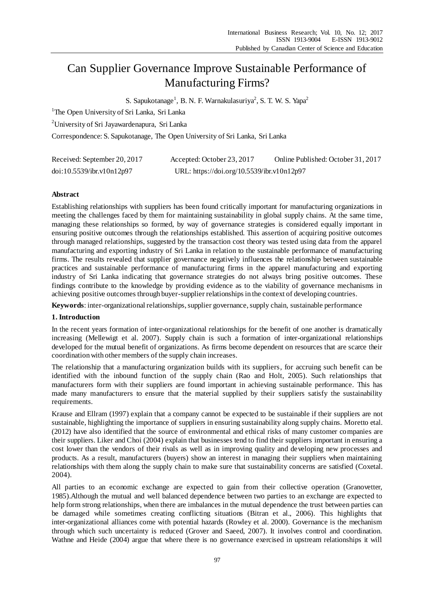# Can Supplier Governance Improve Sustainable Performance of Manufacturing Firms?

S. Sapukotanage<sup>1</sup>, B. N. F. Warnakulasuriya<sup>2</sup>, S. T. W. S. Yapa<sup>2</sup>

<sup>1</sup>The Open University of Sri Lanka, Sri Lanka

<sup>2</sup>University of Sri Jayawardenapura, Sri Lanka

Correspondence: S. Sapukotanage, The Open University of Sri Lanka, Sri Lanka

| Received: September 20, 2017 | Accepted: October 23, 2017                 | Online Published: October 31, 2017 |
|------------------------------|--------------------------------------------|------------------------------------|
| doi:10.5539/ibr.v10n12p97    | URL: https://doi.org/10.5539/ibr.v10n12p97 |                                    |

## **Abstract**

Establishing relationships with suppliers has been found critically important for manufacturing organizations in meeting the challenges faced by them for maintaining sustainability in global supply chains. At the same time, managing these relationships so formed, by way of governance strategies is considered equally important in ensuring positive outcomes through the relationships established. This assertion of acquiring positive outcomes through managed relationships, suggested by the transaction cost theory was tested using data from the apparel manufacturing and exporting industry of Sri Lanka in relation to the sustainable performance of manufacturing firms. The results revealed that supplier governance negatively influences the relationship between sustainable practices and sustainable performance of manufacturing firms in the apparel manufacturing and exporting industry of Sri Lanka indicating that governance strategies do not always bring positive outcomes. These findings contribute to the knowledge by providing evidence as to the viability of governance mechanisms in achieving positive outcomes through buyer-supplier relationships in the context of developing countries.

**Keywords**: inter-organizational relationships, supplier governance, supply chain, sustainable performance

## **1. Introduction**

In the recent years formation of inter-organizational relationships for the benefit of one another is dramatically increasing (Mellewigt et al. 2007). Supply chain is such a formation of inter-organizational relationships developed for the mutual benefit of organizations. As firms become dependent on resources that are scarce their coordination with other members of the supply chain increases.

The relationship that a manufacturing organization builds with its suppliers, for accruing such benefit can be identified with the inbound function of the supply chain (Rao and Holt, 2005). Such relationships that manufacturers form with their suppliers are found important in achieving sustainable performance. This has made many manufacturers to ensure that the material supplied by their suppliers satisfy the sustainability requirements.

Krause and Ellram (1997) explain that a company cannot be expected to be sustainable if their suppliers are not sustainable, highlighting the importance of suppliers in ensuring sustainability along supply chains. Moretto etal. (2012) have also identified that the source of environmental and ethical risks of many customer companies are their suppliers. Liker and Choi (2004) explain that businesses tend to find their suppliers important in ensuring a cost lower than the vendors of their rivals as well as in improving quality and developing new processes and products. As a result, manufacturers (buyers) show an interest in managing their suppliers when maintaining relationships with them along the supply chain to make sure that sustainability concerns are satisfied (Coxetal. 2004).

All parties to an economic exchange are expected to gain from their collective operation (Granovetter, 1985).Although the mutual and well balanced dependence between two parties to an exchange are expected to help form strong relationships, when there are imbalances in the mutual dependence the trust between parties can be damaged while sometimes creating conflicting situations (Bitran et al., 2006). This highlights that inter-organizational alliances come with potential hazards (Rowley et al. 2000). Governance is the mechanism through which such uncertainty is reduced (Grover and Saeed, 2007). It involves control and coordination. Wathne and Heide (2004) argue that where there is no governance exercised in upstream relationships it will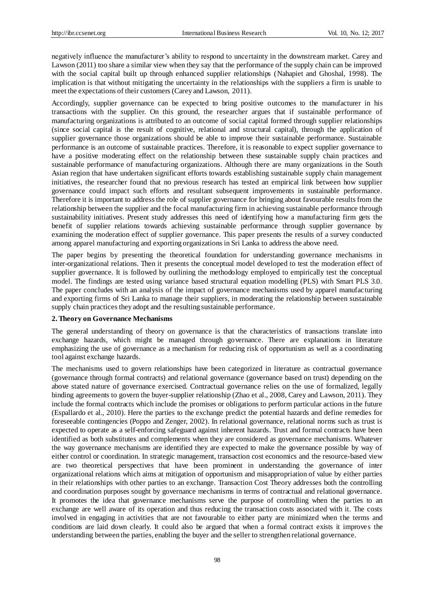negatively influence the manufacturer's ability to respond to uncertainty in the downstream market. Carey and Lawson (2011) too share a similar view when they say that the performance of the supply chain can be improved with the social capital built up through enhanced supplier relationships (Nahapiet and Ghoshal, 1998). The implication is that without mitigating the uncertainty in the relationships with the suppliers a firm is unable to meet the expectations of their customers (Carey and Lawson, 2011).

Accordingly, supplier governance can be expected to bring positive outcomes to the manufacturer in his transactions with the supplier. On this ground, the researcher argues that if sustainable performance of manufacturing organizations is attributed to an outcome of social capital formed through supplier relationships (since social capital is the result of cognitive, relational and structural capital), through the application of supplier governance those organizations should be able to improve their sustainable performance. Sustainable performance is an outcome of sustainable practices. Therefore, it is reasonable to expect supplier governance to have a positive moderating effect on the relationship between these sustainable supply chain practices and sustainable performance of manufacturing organizations. Although there are many organizations in the South Asian region that have undertaken significant efforts towards establishing sustainable supply chain management initiatives, the researcher found that no previous research has tested an empirical link between how supplier governance could impact such efforts and resultant subsequent improvements in sustainable performance. Therefore it is important to address the role of supplier governance for bringing about favourable results from the relationship between the supplier and the focal manufacturing firm in achieving sustainable performance through sustainability initiatives. Present study addresses this need of identifying how a manufacturing firm gets the benefit of supplier relations towards achieving sustainable performance through supplier governance by examining the moderation effect of supplier governance. This paper presents the results of a survey conducted among apparel manufacturing and exporting organizations in Sri Lanka to address the above need.

The paper begins by presenting the theoretical foundation for understanding governance mechanisms in inter-organizational relations. Then it presents the conceptual model developed to test the moderation effect of supplier governance. It is followed by outlining the methodology employed to empirically test the conceptual model. The findings are tested using variance based structural equation modelling (PLS) with Smart PLS 3.0. The paper concludes with an analysis of the impact of governance mechanisms used by apparel manufacturing and exporting firms of Sri Lanka to manage their suppliers, in moderating the relationship between sustainable supply chain practices they adopt and the resulting sustainable performance.

#### **2. Theory on Governance Mechanisms**

The general understanding of theory on governance is that the characteristics of transactions translate into exchange hazards, which might be managed through governance. There are explanations in literature emphasizing the use of governance as a mechanism for reducing risk of opportunism as well as a coordinating tool against exchange hazards.

The mechanisms used to govern relationships have been categorized in literature as contractual governance (governance through formal contracts) and relational governance (governance based on trust) depending on the above stated nature of governance exercised. Contractual governance relies on the use of formalized, legally binding agreements to govern the buyer-supplier relationship (Zhao et al., 2008, Carey and Lawson, 2011). They include the formal contracts which include the promises or obligations to perform particular actions in the future (Espallardo et al., 2010). Here the parties to the exchange predict the potential hazards and define remedies for foreseeable contingencies (Poppo and Zenger, 2002). In relational governance, relational norms such as trust is expected to operate as a self-enforcing safeguard against inherent hazards. Trust and formal contracts have been identified as both substitutes and complements when they are considered as governance mechanisms. Whatever the way governance mechanisms are identified they are expected to make the governance possible by way of either control or coordination. In strategic management, transaction cost economics and the resource-based view are two theoretical perspectives that have been prominent in understanding the governance of inter organizational relations which aims at mitigation of opportunism and misappropriation of value by either parties in their relationships with other parties to an exchange. Transaction Cost Theory addresses both the controlling and coordination purposes sought by governance mechanisms in terms of contractual and relational governance. It promotes the idea that governance mechanisms serve the purpose of controlling when the parties to an exchange are well aware of its operation and thus reducing the transaction costs associated with it. The costs involved in engaging in activities that are not favourable to either party are minimized when the terms and conditions are laid down clearly. It could also be argued that when a formal contract exists it improve s the understanding between the parties, enabling the buyer and the seller to strengthen relational governance.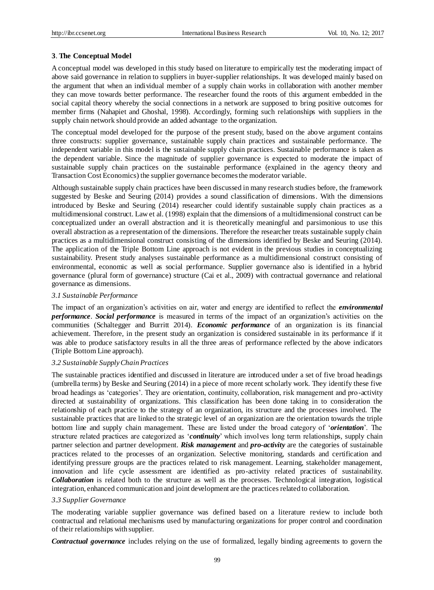## **3**. **The Conceptual Model**

A conceptual model was developed in this study based on literature to empirically test the moderating impact of above said governance in relation to suppliers in buyer-supplier relationships. It was developed mainly based on the argument that when an individual member of a supply chain works in collaboration with another member they can move towards better performance. The researcher found the roots of this argument embedded in the social capital theory whereby the social connections in a network are supposed to bring positive outcomes for member firms (Nahapiet and Ghoshal, 1998). Accordingly, forming such relationships with suppliers in the supply chain network should provide an added advantage to the organization.

The conceptual model developed for the purpose of the present study, based on the above argument contains three constructs: supplier governance, sustainable supply chain practices and sustainable performance. The independent variable in this model is the sustainable supply chain practices. Sustainable performance is taken as the dependent variable. Since the magnitude of supplier governance is expected to moderate the impact of sustainable supply chain practices on the sustainable performance (explained in the agency theory and Transaction Cost Economics) the supplier governance becomes the moderator variable.

Although sustainable supply chain practices have been discussed in many research studies before, the framework suggested by Beske and Seuring (2014) provides a sound classification of dimensions. With the dimensions introduced by Beske and Seuring (2014) researcher could identify sustainable supply chain practices as a multidimensional construct. Law et al. (1998) explain that the dimensions of a multidimensional construct can be conceptualized under an overall abstraction and it is theoretically meaningful and parsimonious to use this overall abstraction as a representation of the dimensions. Therefore the researcher treats sustainable supply chain practices as a multidimensional construct consisting of the dimensions identified by Beske and Seuring (2014). The application of the Triple Bottom Line approach is not evident in the previous studies in conceptualizing sustainability. Present study analyses sustainable performance as a multidimensional construct consisting of environmental, economic as well as social performance. Supplier governance also is identified in a hybrid governance (plural form of governance) structure (Cai et al., 2009) with contractual governance and relational governance as dimensions.

## *3.1 Sustainable Performance*

The impact of an organization's activities on air, water and energy are identified to reflect the *environmental performance*. *Social performance* is measured in terms of the impact of an organization's activities on the communities (Schaltegger and Burritt 2014). *Economic performance* of an organization is its financial achievement. Therefore, in the present study an organization is considered sustainable in its performance if it was able to produce satisfactory results in all the three areas of performance reflected by the above indicators (Triple Bottom Line approach).

#### *3.2 Sustainable Supply Chain Practices*

The sustainable practices identified and discussed in literature are introduced under a set of five broad headings (umbrella terms) by Beske and Seuring (2014) in a piece of more recent scholarly work. They identify these five broad headings as 'categories'. They are orientation, continuity, collaboration, risk management and pro-activity directed at sustainability of organizations. This classification has been done taking in to consideration the relationship of each practice to the strategy of an organization, its structure and the processes involved. The sustainable practices that are linked to the strategic level of an organization are the orientation towards the triple bottom line and supply chain management. These are listed under the broad category of '*orientation*'. The structure related practices are categorized as '*continuity*' which involves long term relationships, supply chain partner selection and partner development. *Risk management* and *pro-activity* are the categories of sustainable practices related to the processes of an organization. Selective monitoring, standards and certification and identifying pressure groups are the practices related to risk management. Learning, stakeholder management, innovation and life cycle assessment are identified as pro-activity related practices of sustainability. *Collaboration* is related both to the structure as well as the processes. Technological integration, logistical integration, enhanced communication and joint development are the practices related to collaboration.

## *3.3 Supplier Governance*

The moderating variable supplier governance was defined based on a literature review to include both contractual and relational mechanisms used by manufacturing organizations for proper control and coordination of their relationships with supplier.

*Contractual governance* includes relying on the use of formalized, legally binding agreements to govern the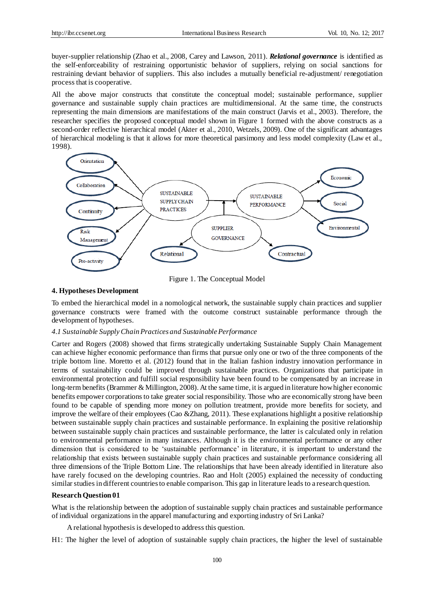buyer-supplier relationship (Zhao et al., 2008, Carey and Lawson, 2011). *Relational governance* is identified as the self-enforceability of restraining opportunistic behavior of suppliers, relying on social sanctions for restraining deviant behavior of suppliers. This also includes a mutually beneficial re-adjustment/ renegotiation process that is cooperative.

All the above major constructs that constitute the conceptual model; sustainable performance, supplier governance and sustainable supply chain practices are multidimensional. At the same time, the constructs representing the main dimensions are manifestations of the main construct (Jarvis et al., 2003). Therefore, the researcher specifies the proposed conceptual model shown in Figure 1 formed with the above constructs as a second-order reflective hierarchical model (Akter et al., 2010, Wetzels, 2009). One of the significant advantages of hierarchical modeling is that it allows for more theoretical parsimony and less model complexity (Law et al., 1998).



Figure 1. The Conceptual Model

#### **4. Hypotheses Development**

To embed the hierarchical model in a nomological network, the sustainable supply chain practices and supplier governance constructs were framed with the outcome construct sustainable performance through the development of hypotheses.

#### *4.1 Sustainable Supply Chain Practices and Sustainable Performance*

Carter and Rogers (2008) showed that firms strategically undertaking Sustainable Supply Chain Management can achieve higher economic performance than firms that pursue only one or two of the three components of the triple bottom line. Moretto et al. (2012) found that in the Italian fashion industry innovation performance in terms of sustainability could be improved through sustainable practices. Organizations that participate in environmental protection and fulfill social responsibility have been found to be compensated by an increase in long-term benefits (Brammer & Millington, 2008). At the same time, it is argued in literature how higher economic benefits empower corporations to take greater social responsibility. Those who are economically strong have been found to be capable of spending more money on pollution treatment, provide more benefits for society, and improve the welfare of their employees (Cao &Zhang, 2011). These explanations highlight a positive relationship between sustainable supply chain practices and sustainable performance. In explaining the positive relationship between sustainable supply chain practices and sustainable performance, the latter is calculated only in relation to environmental performance in many instances. Although it is the environmental performance or any other dimension that is considered to be 'sustainable performance' in literature, it is important to understand the relationship that exists between sustainable supply chain practices and sustainable performance considering all three dimensions of the Triple Bottom Line. The relationships that have been already identified in literature also have rarely focused on the developing countries. Rao and Holt (2005) explained the necessity of conducting similar studies in different countries to enable comparison. This gap in literature leads to a research question.

#### **Research Question 01**

What is the relationship between the adoption of sustainable supply chain practices and sustainable performance of individual organizations in the apparel manufacturing and exporting industry of Sri Lanka?

- A relational hypothesis is developed to address this question.
- H1: The higher the level of adoption of sustainable supply chain practices, the higher the level of sustainable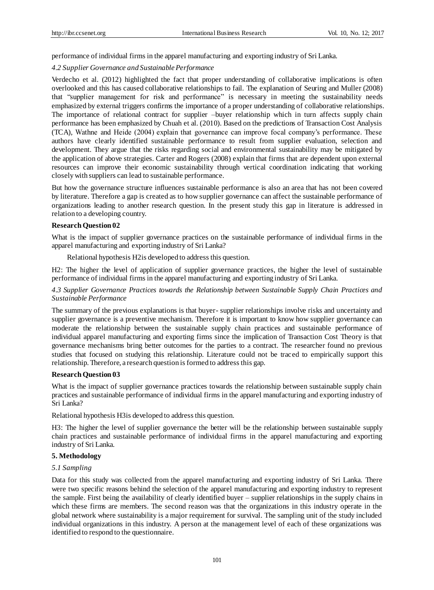performance of individual firms in the apparel manufacturing and exporting industry of Sri Lanka.

## *4.2 Supplier Governance and Sustainable Performance*

Verdecho et al. (2012) highlighted the fact that proper understanding of collaborative implications is often overlooked and this has caused collaborative relationships to fail. The explanation of Seuring and Muller (2008) that "supplier management for risk and performance" is necessary in meeting the sustainability needs emphasized by external triggers confirms the importance of a proper understanding of collaborative relationships. The importance of relational contract for supplier –buyer relationship which in turn affects supply chain performance has been emphasized by Chuah et al. (2010). Based on the predictions of Transaction Cost Analysis (TCA), Wathne and Heide (2004) explain that governance can improve focal company's performance. These authors have clearly identified sustainable performance to result from supplier evaluation, selection and development. They argue that the risks regarding social and environmental sustainability may be mitigated by the application of above strategies. Carter and Rogers (2008) explain that firms that are dependent upon external resources can improve their economic sustainability through vertical coordination indicating that working closely with suppliers can lead to sustainable performance.

But how the governance structure influences sustainable performance is also an area that has not been covered by literature. Therefore a gap is created as to how supplier governance can affect the sustainable performance of organizations leading to another research question. In the present study this gap in literature is addressed in relation to a developing country.

## **Research Question 02**

What is the impact of supplier governance practices on the sustainable performance of individual firms in the apparel manufacturing and exporting industry of Sri Lanka?

Relational hypothesis H2is developed to address this question.

H2: The higher the level of application of supplier governance practices, the higher the level of sustainable performance of individual firms in the apparel manufacturing and exporting industry of Sri Lanka.

## *4.3 Supplier Governance Practices towards the Relationship between Sustainable Supply Chain Practices and Sustainable Performance*

The summary of the previous explanations is that buyer- supplier relationships involve risks and uncertainty and supplier governance is a preventive mechanism. Therefore it is important to know how supplier governance can moderate the relationship between the sustainable supply chain practices and sustainable performance of individual apparel manufacturing and exporting firms since the implication of Transaction Cost Theory is that governance mechanisms bring better outcomes for the parties to a contract. The researcher found no previous studies that focused on studying this relationship. Literature could not be traced to empirically support this relationship. Therefore, a research question is formed to address this gap.

## **Research Question 03**

What is the impact of supplier governance practices towards the relationship between sustainable supply chain practices and sustainable performance of individual firms in the apparel manufacturing and exporting industry of Sri Lanka?

Relational hypothesis H3is developed to address this question.

H3: The higher the level of supplier governance the better will be the relationship between sustainable supply chain practices and sustainable performance of individual firms in the apparel manufacturing and exporting industry of Sri Lanka.

## **5. Methodology**

## *5.1 Sampling*

Data for this study was collected from the apparel manufacturing and exporting industry of Sri Lanka. There were two specific reasons behind the selection of the apparel manufacturing and exporting industry to represent the sample. First being the availability of clearly identified buyer – supplier relationships in the supply chains in which these firms are members. The second reason was that the organizations in this industry operate in the global network where sustainability is a major requirement for survival. The sampling unit of the study included individual organizations in this industry. A person at the management level of each of these organizations was identified to respond to the questionnaire.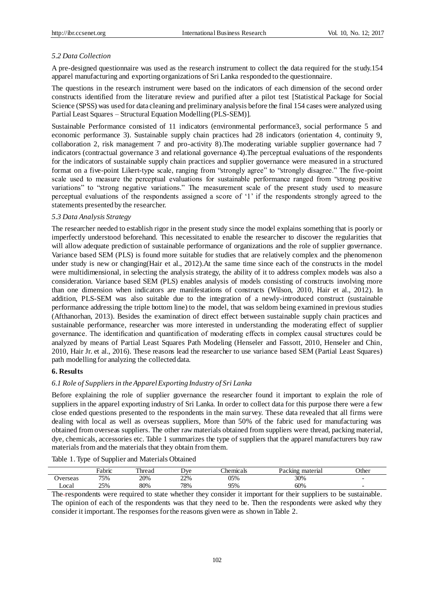#### *5.2 Data Collection*

A pre-designed questionnaire was used as the research instrument to collect the data required for the study.154 apparel manufacturing and exporting organizations of Sri Lanka responded to the questionnaire.

The questions in the research instrument were based on the indicators of each dimension of the second order constructs identified from the literature review and purified after a pilot test [Statistical Package for Social Science (SPSS) was used for data cleaning and preliminary analysis before the final 154 cases were analyzed using Partial Least Squares – Structural Equation Modelling (PLS-SEM)].

Sustainable Performance consisted of 11 indicators (environmental performance3, social performance 5 and economic performance 3). Sustainable supply chain practices had 28 indicators (orientation 4, continuity 9, collaboration 2, risk management 7 and pro-activity 8).The moderating variable supplier governance had 7 indicators (contractual governance 3 and relational governance 4).The perceptual evaluations of the respondents for the indicators of sustainable supply chain practices and supplier governance were measured in a structured format on a five-point Likert-type scale, ranging from "strongly agree" to "strongly disagree." The five-point scale used to measure the perceptual evaluations for sustainable performance ranged from "strong positive variations" to "strong negative variations." The measurement scale of the present study used to measure perceptual evaluations of the respondents assigned a score of '1' if the respondents strongly agreed to the statements presented by the researcher.

#### *5.3 Data Analysis Strategy*

The researcher needed to establish rigor in the present study since the model explains something that is poorly or imperfectly understood beforehand. This necessitated to enable the researcher to discover the regularities that will allow adequate prediction of sustainable performance of organizations and the role of supplier governance. Variance based SEM (PLS) is found more suitable for studies that are relatively complex and the phenomenon under study is new or changing(Hair et al., 2012).At the same time since each of the constructs in the model were multidimensional, in selecting the analysis strategy, the ability of it to address complex models was also a consideration. Variance based SEM (PLS) enables analysis of models consisting of constructs involving more than one dimension when indicators are manifestations of constructs (Wilson, 2010, Hair et al., 2012). In addition, PLS-SEM was also suitable due to the integration of a newly-introduced construct (sustainable performance addressing the triple bottom line) to the model, that was seldom being examined in previous studies (Afthanorhan, 2013). Besides the examination of direct effect between sustainable supply chain practices and sustainable performance, researcher was more interested in understanding the moderating effect of supplier governance. The identification and quantification of moderating effects in complex causal structures could be analyzed by means of Partial Least Squares Path Modeling (Henseler and Fassott, 2010, Henseler and Chin, 2010, Hair Jr. et al., 2016). These reasons lead the researcher to use variance based SEM (Partial Least Squares) path modelling for analyzing the collected data.

#### **6. Results**

#### *6.1 Role of Suppliers in the Apparel Exporting Industry of Sri Lanka*

Before explaining the role of supplier governance the researcher found it important to explain the role of suppliers in the apparel exporting industry of Sri Lanka. In order to collect data for this purpose there were a few close ended questions presented to the respondents in the main survey. These data revealed that all firms were dealing with local as well as overseas suppliers, More than 50% of the fabric used for manufacturing was obtained from overseas suppliers. The other raw materials obtained from suppliers were thread, packing material, dye, chemicals, accessories etc. Table 1 summarizes the type of suppliers that the apparel manufacturers buy raw materials from and the materials that they obtain from them.

| Table 1. Type of Supplier and Materials Obtained |
|--------------------------------------------------|
|--------------------------------------------------|

|          | $\mathbf{r}$<br>Fabric | m<br>'hread | Dve | <i>Chemicals</i> | material<br>Packing | Other                    |
|----------|------------------------|-------------|-----|------------------|---------------------|--------------------------|
| Jverseas | 75%                    | 20%         | 22% | 05%              | 30%                 | $\overline{\phantom{0}}$ |
| Local    | 25%                    | 80%         | 78% | 95%              | 60%                 |                          |

The respondents were required to state whether they consider it important for their suppliers to be sustainable. The opinion of each of the respondents was that they need to be. Then the respondents were asked why they consider it important. The responses for the reasons given were as shown in Table 2.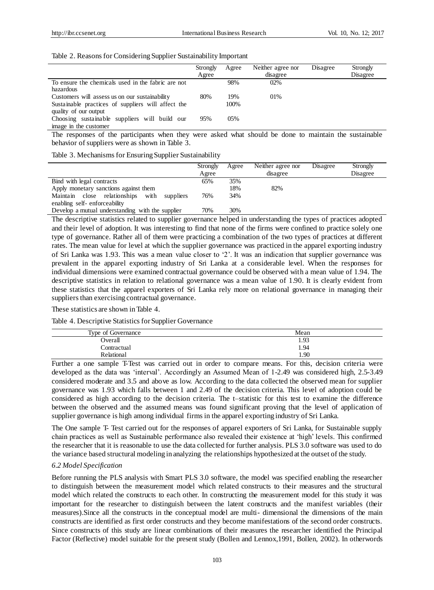|  |  |  |  |  |  |  | Table 2. Reasons for Considering Supplier Sustainability Important |  |  |
|--|--|--|--|--|--|--|--------------------------------------------------------------------|--|--|
|--|--|--|--|--|--|--|--------------------------------------------------------------------|--|--|

|                                                    | Strongly<br>Agree | Agree | Neither agree nor<br>disagree | Disagree | Strongly<br>Disagree |
|----------------------------------------------------|-------------------|-------|-------------------------------|----------|----------------------|
| To ensure the chemicals used in the fabric are not |                   | 98%   | 02%                           |          |                      |
| hazardous                                          |                   |       |                               |          |                      |
| Customers will assess us on our sustainability     | 80%               | 19%   | 01\%                          |          |                      |
| Sustainable practices of suppliers will affect the |                   | 100%  |                               |          |                      |
| quality of our output                              |                   |       |                               |          |                      |
| Choosing sustainable suppliers will build our      | 95%               | 0.5%  |                               |          |                      |
| image in the customer                              |                   |       |                               |          |                      |

The responses of the participants when they were asked what should be done to maintain the sustainable behavior of suppliers were as shown in Table 3.

Table 3. Mechanisms for Ensuring Supplier Sustainability

|                                                  | Strongly<br>Agree | Agree | Neither agree nor<br>disagree | Disagree | Strongly<br>Disagree |
|--------------------------------------------------|-------------------|-------|-------------------------------|----------|----------------------|
|                                                  |                   |       |                               |          |                      |
| Bind with legal contracts                        | 65%               | 35%   |                               |          |                      |
| Apply monetary sanctions against them            |                   | 18%   | 82%                           |          |                      |
| Maintain close relationships with<br>suppliers   | 76%               | 34%   |                               |          |                      |
| enabling self-enforceability                     |                   |       |                               |          |                      |
| Develop a mutual understanding with the supplier | 70%               | 30%   |                               |          |                      |

The descriptive statistics related to supplier governance helped in understanding the types of practices adopted and their level of adoption. It was interesting to find that none of the firms were confined to practice solely one type of governance. Rather all of them were practicing a combination of the two types of practices at different rates. The mean value for level at which the supplier governance was practiced in the apparel exporting industry of Sri Lanka was 1.93. This was a mean value closer to '2'. It was an indication that supplier governance was prevalent in the apparel exporting industry of Sri Lanka at a considerable level. When the responses for individual dimensions were examined contractual governance could be observed with a mean value of 1.94. The descriptive statistics in relation to relational governance was a mean value of 1.90. It is clearly evident from these statistics that the apparel exporters of Sri Lanka rely more on relational governance in managing their suppliers than exercising contractual governance.

These statistics are shown in Table 4.

Table 4. Descriptive Statistics for Supplier Governance

| Type of Governance | Mean |
|--------------------|------|
| Overall            | 1.93 |
| Contractual        | 1.94 |
| Relational         | 1.90 |

Further a one sample T-Test was carried out in order to compare means. For this, decision criteria were developed as the data was 'interval'. Accordingly an Assumed Mean of 1-2.49 was considered high, 2.5-3.49 considered moderate and 3.5 and above as low. According to the data collected the observed mean for supplier governance was 1.93 which falls between 1 and 2.49 of the decision criteria. This level of adoption could be considered as high according to the decision criteria. The t–statistic for this test to examine the difference between the observed and the assumed means was found significant proving that the level of application of supplier governance is high among individual firms in the apparel exporting industry of Sri Lanka.

The One sample T- Test carried out for the responses of apparel exporters of Sri Lanka, for Sustainable supply chain practices as well as Sustainable performance also revealed their existence at 'high' levels. This confirmed the researcher that it is reasonable to use the data collected for further analysis. PLS 3.0 software was used to do the variance based structural modeling in analyzing the relationships hypothesized at the outset of the study.

#### *6.2 Model Specification*

Before running the PLS analysis with Smart PLS 3.0 software, the model was specified enabling the researcher to distinguish between the measurement model which related constructs to their measures and the structural model which related the constructs to each other. In constructing the measurement model for this study it was important for the researcher to distinguish between the latent constructs and the manifest variables (their measures).Since all the constructs in the conceptual model are multi- dimensional the dimensions of the main constructs are identified as first order constructs and they become manifestations of the second order constructs. Since constructs of this study are linear combinations of their measures the researcher identified the Principal Factor (Reflective) model suitable for the present study (Bollen and Lennox,1991, Bollen, 2002). In otherwords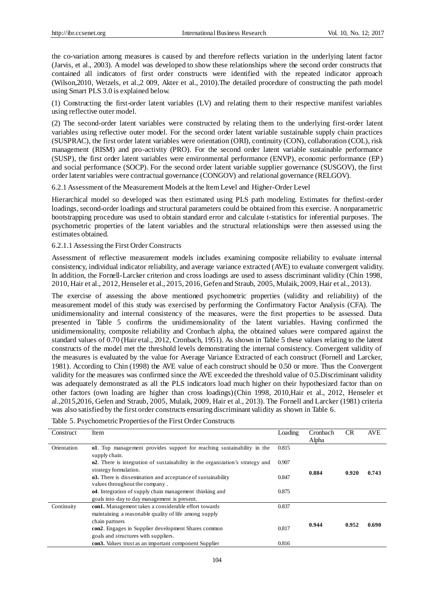CR AVE

the co-variation among measures is caused by and therefore reflects variation in the underlying latent factor (Jarvis, et al., 2003). A model was developed to show these relationships where the second order constructs that contained all indicators of first order constructs were identified with the repeated indicator approach (Wilson,2010, Wetzels, et al.,2 009, Akter et al., 2010).The detailed procedure of constructing the path model using Smart PLS 3.0 is explained below.

(1) Constructing the first-order latent variables (LV) and relating them to their respective manifest variables using reflective outer model.

(2) The second-order latent variables were constructed by relating them to the underlying first-order latent variables using reflective outer model. For the second order latent variable sustainable supply chain practices (SUSPRAC), the first order latent variables were orientation (ORI), continuity (CON), collaboration (COL), risk management (RISM) and pro-activity (PRO). For the second order latent variable sustainable performance (SUSP), the first order latent variables were environmental performance (ENVP), economic performance (EP) and social performance (SOCP). For the second order latent variable supplier governance (SUSGOV), the first order latent variables were contractual governance (CONGOV) and relational governance (RELGOV).

6.2.1 Assessment of the Measurement Models at the Item Level and Higher-Order Level

Hierarchical model so developed was then estimated using PLS path modeling. Estimates for thefirst-order loadings, second-order loadings and structural parameters could be obtained from this exercise. A nonparametric bootstrapping procedure was used to obtain standard error and calculate t-statistics for inferential purposes. The psychometric properties of the latent variables and the structural relationships were then assessed using the estimates obtained.

#### 6.2.1.1 Assessing the First Order Constructs

Assessment of reflective measurement models includes examining composite reliability to evaluate internal consistency, individual indicator reliability, and average variance extracted (AVE) to evaluate convergent validity. In addition, the Fornell-Larcker criterion and cross loadings are used to assess discriminant validity (Chin 1998, 2010, Hair et al., 2012, Henseler et al., 2015, 2016, Gefen and Straub, 2005, Mulaik, 2009, Hair et al., 2013).

The exercise of assessing the above mentioned psychometric properties (validity and reliability) of the measurement model of this study was exercised by performing the Confirmatory Factor Analysis (CFA). The unidimensionality and internal consistency of the measures, were the first properties to be assessed. Data presented in Table 5 confirms the unidimensionality of the latent variables. Having confirmed the unidimensionality, composite reliability and Cronbach alpha, the obtained values were compared against the standard values of 0.70 (Hair etal., 2012, Cronbach, 1951). As shown in Table 5 these values relating to the latent constructs of the model met the threshold levels demonstrating the internal consistency. Convergent validity of the measures is evaluated by the value for Average Variance Extracted of each construct (Fornell and Larcker, 1981). According to Chin (1998) the AVE value of each construct should be 0.50 or more. Thus the Convergent validity for the measures was confirmed since the AVE exceeded the threshold value of 0.5.Discriminant validity was adequately demonstrated as all the PLS indicators load much higher on their hypothesized factor than on other factors (own loading are higher than cross loadings)(Chin 1998, 2010,Hair et al., 2012, Henseler et al.,2015,2016, Gefen and Straub, 2005, Mulaik, 2009, Hair et al., 2013). The Fornell and Larcker (1981) criteria was also satisfied by the first order constructs ensuring discriminant validity as shown in Table 6.

| Consulati   | 11 U                                                                                                           | LOGUILE | Cromoden<br>Alpha | ◡     | 71 V L |
|-------------|----------------------------------------------------------------------------------------------------------------|---------|-------------------|-------|--------|
| Orientation | o1. Top management provides support for reaching sustainability in the<br>supply chain.                        | 0.815   |                   |       |        |
|             | <b>o2.</b> There is integration of sustainability in the organization's strategy and<br>strategy formulation.  | 0.907   | 0.884             | 0.920 | 0.743  |
|             | <b>03.</b> There is dissemination and acceptance of sustainability<br>values throughout the company.           | 0.847   |                   |       |        |
|             | <b>o4.</b> Integration of supply chain management thinking and<br>goals into day to day management is present. | 0.875   |                   |       |        |
| Continuity  | con1. Management takes a considerable effort towards<br>maintaining a reasonable quality of life among supply  | 0.837   |                   |       |        |
|             | chain partners<br>con2. Engages in Supplier development Shares common<br>goals and structures with suppliers.  | 0.817   | 0.944             | 0.952 | 0.690  |
|             | con <sub>3</sub> . Values trust as an important component Supplier                                             | 0.816   |                   |       |        |

Construct Item Loading Cronbach

### Table 5. Psychometric Properties of the First Order Constructs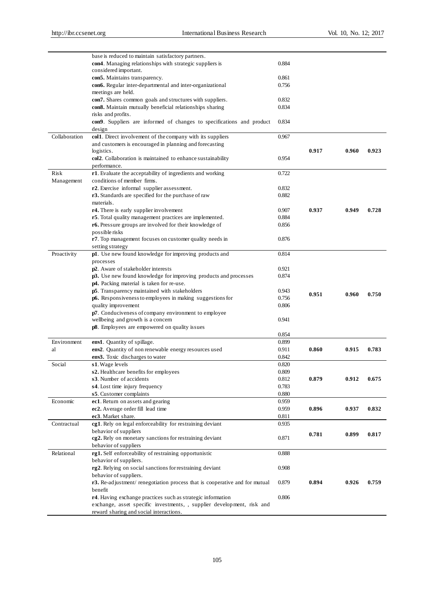|               | base is reduced to maintain satisfactory partners.                                                                   |                |       |       |       |
|---------------|----------------------------------------------------------------------------------------------------------------------|----------------|-------|-------|-------|
|               | con4. Managing relationships with strategic suppliers is                                                             | 0.884          |       |       |       |
|               | considered important.                                                                                                |                |       |       |       |
|               | con5. Maintains transparency.                                                                                        | 0.861          |       |       |       |
|               | con6. Regular inter-departmental and inter-organizational                                                            | 0.756          |       |       |       |
|               | meetings are held.                                                                                                   | 0.832          |       |       |       |
|               | con7. Shares common goals and structures with suppliers.<br>con8. Maintain mutually beneficial relationships sharing | 0.834          |       |       |       |
|               | risks and profits.                                                                                                   |                |       |       |       |
|               | con9. Suppliers are informed of changes to specifications and product                                                | 0.834          |       |       |       |
|               | design                                                                                                               |                |       |       |       |
| Collaboration | col1. Direct involvement of the company with its suppliers                                                           | 0.967          |       |       |       |
|               | and customers is encouraged in planning and forecasting                                                              |                |       |       |       |
|               | logistics.                                                                                                           |                | 0.917 | 0.960 | 0.923 |
|               | col2. Collaboration is maintained to enhance sustainability                                                          | 0.954          |       |       |       |
|               | performance.                                                                                                         |                |       |       |       |
| <b>Risk</b>   | r1. Evaluate the acceptability of ingredients and working                                                            | 0.722          |       |       |       |
| Management    | conditions of member firms.                                                                                          |                |       |       |       |
|               | r2. Exercise informal supplier assessment.                                                                           | 0.832          |       |       |       |
|               | r3. Standards are specified for the purchase of raw                                                                  | 0.882          |       |       |       |
|               | materials.                                                                                                           |                |       |       |       |
|               | r4. There is early supplier involvement                                                                              | 0.907          | 0.937 | 0.949 | 0.728 |
|               | r5. Total quality management practices are implemented.                                                              | 0.884          |       |       |       |
|               | r6. Pressure groups are involved for their knowledge of<br>possible risks                                            | 0.856          |       |       |       |
|               | <b>r7</b> . Top management focuses on customer quality needs in                                                      | 0.876          |       |       |       |
|               | setting strategy                                                                                                     |                |       |       |       |
| Proactivity   | p1. Use new found knowledge for improving products and                                                               | 0.814          |       |       |       |
|               | processes                                                                                                            |                |       |       |       |
|               | p2. Aware of stakeholder interests                                                                                   | 0.921          |       |       |       |
|               | p3. Use new found knowledge for improving products and processes                                                     | 0.874          |       |       |       |
|               | p4. Packing material is taken for re-use.                                                                            |                |       |       |       |
|               | p5. Transparency maintained with stakeholders                                                                        | 0.943          | 0.951 | 0.960 | 0.750 |
|               | p6. Responsiveness to employees in making suggestions for                                                            | 0.756          |       |       |       |
|               | quality improvement                                                                                                  | 0.806          |       |       |       |
|               | p7. Conduciveness of company environment to employee                                                                 |                |       |       |       |
|               | wellbeing and growth is a concern                                                                                    | 0.941          |       |       |       |
|               | <b>p8</b> . Employees are empowered on quality issues                                                                |                |       |       |       |
| Environment   | env1. Quantity of spillage.                                                                                          | 0.854<br>0.899 |       |       |       |
| al            | env2. Quantity of non renewable energy resources used                                                                | 0.911          | 0.860 | 0.915 | 0.783 |
|               | env3. Toxic discharges to water                                                                                      | 0.842          |       |       |       |
| Social        | s1. Wage levels                                                                                                      | 0.820          |       |       |       |
|               | s2. Healthcare benefits for employees                                                                                | 0.809          |       |       |       |
|               | s3. Number of accidents                                                                                              | 0.812          | 0.879 | 0.912 | 0.675 |
|               | s4. Lost time injury frequency                                                                                       | 0.783          |       |       |       |
|               | s5. Customer complaints                                                                                              | 0.880          |       |       |       |
| Economic      | ec1. Return on assets and gearing                                                                                    | 0.959          |       |       |       |
|               | ec2. Average order fill lead time                                                                                    | 0.959          | 0.896 | 0.937 | 0.832 |
|               | ec3. Market share.                                                                                                   | 0.811          |       |       |       |
| Contractual   | cg1. Rely on legal enforceability for restraining deviant                                                            | 0.935          |       |       |       |
|               | behavior of suppliers                                                                                                |                | 0.781 | 0.899 | 0.817 |
|               | eg2. Rely on monetary sanctions for restraining deviant                                                              | 0.871          |       |       |       |
|               | behavior of suppliers                                                                                                |                |       |       |       |
| Relational    | rg1. Self enforceability of restraining opportunistic                                                                | 0.888          |       |       |       |
|               | behavior of suppliers.                                                                                               |                |       |       |       |
|               | rg2. Relying on social sanctions for restraining deviant                                                             | 0.908          |       |       |       |
|               | behavior of suppliers.                                                                                               |                |       |       |       |
|               | <b>r3.</b> Re-adjustment/ renegotiation process that is cooperative and for mutual                                   | 0.879          | 0.894 | 0.926 | 0.759 |
|               | benefit<br>r4. Having exchange practices such as strategic information                                               | 0.806          |       |       |       |
|               | exchange, asset specific investments, , supplier development, risk and                                               |                |       |       |       |
|               | reward sharing and social interactions.                                                                              |                |       |       |       |
|               |                                                                                                                      |                |       |       |       |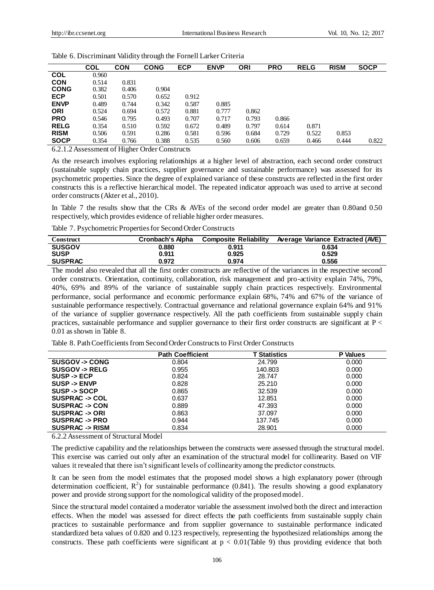|             | COL   | <b>CON</b> | <b>CONG</b> | <b>ECP</b> | <b>ENVP</b> | ORI   | <b>PRO</b> | <b>RELG</b> | <b>RISM</b> | <b>SOCP</b> |
|-------------|-------|------------|-------------|------------|-------------|-------|------------|-------------|-------------|-------------|
| <b>COL</b>  | 0.960 |            |             |            |             |       |            |             |             |             |
| <b>CON</b>  | 0.514 | 0.831      |             |            |             |       |            |             |             |             |
| <b>CONG</b> | 0.382 | 0.406      | 0.904       |            |             |       |            |             |             |             |
| <b>ECP</b>  | 0.501 | 0.570      | 0.652       | 0.912      |             |       |            |             |             |             |
| <b>ENVP</b> | 0.489 | 0.744      | 0.342       | 0.587      | 0.885       |       |            |             |             |             |
| <b>ORI</b>  | 0.524 | 0.694      | 0.572       | 0.881      | 0.777       | 0.862 |            |             |             |             |
| <b>PRO</b>  | 0.546 | 0.795      | 0.493       | 0.707      | 0.717       | 0.793 | 0.866      |             |             |             |
| <b>RELG</b> | 0.354 | 0.510      | 0.592       | 0.672      | 0.489       | 0.797 | 0.614      | 0.871       |             |             |
| <b>RISM</b> | 0.506 | 0.591      | 0.286       | 0.581      | 0.596       | 0.684 | 0.729      | 0.522       | 0.853       |             |
| <b>SOCP</b> | 0.354 | 0.766      | 0.388       | 0.535      | 0.560       | 0.606 | 0.659      | 0.466       | 0.444       | 0.822       |

Table 6. Discriminant Validity through the Fornell Larker Criteria

6.2.1.2 Assessment of Higher Order Constructs

As the research involves exploring relationships at a higher level of abstraction, each second order construct (sustainable supply chain practices, supplier governance and sustainable performance) was assessed for its psychometric properties. Since the degree of explained variance of these constructs are reflected in the first order constructs this is a reflective hierarchical model. The repeated indicator approach was used to arrive at second order constructs (Akter et al., 2010).

In Table 7 the results show that the CRs & AVEs of the second order model are greater than 0.80and 0.50 respectively, which provides evidence of reliable higher order measures.

Table 7. Psychometric Properties for Second Order Constructs

| <b>Construct</b> | <b>Cronbach's Alpha</b> | <b>Composite Reliability</b> | Average Variance Extracted (AVE) |
|------------------|-------------------------|------------------------------|----------------------------------|
| <b>SUSGOV</b>    | 0.880                   | 0.911                        | 0.634                            |
| <b>SUSP</b>      | 0.911                   | 0.925                        | 0.529                            |
| <b>SUSPRAC</b>   | 0.972                   | 0.974                        | 0.556                            |

The model also revealed that all the first order constructs are reflective of the variances in the respective second order constructs. Orientation, continuity, collaboration, risk management and pro-activity explain 74%, 79%, 40%, 69% and 89% of the variance of sustainable supply chain practices respectively. Environmental performance, social performance and economic performance explain 68%, 74% and 67% of the variance of sustainable performance respectively. Contractual governance and relational governance explain 64% and 91% of the variance of supplier governance respectively. All the path coefficients from sustainable supply chain practices, sustainable performance and supplier governance to their first order constructs are significant at P < 0.01 as shown in Table 8.

Table 8. Path Coefficients from Second Order Constructs to First Order Constructs

|                           | <b>Path Coefficient</b> | <b>T Statistics</b> | <b>P</b> Values |
|---------------------------|-------------------------|---------------------|-----------------|
| <b>SUSGOV-&gt; CONG</b>   | 0.804                   | 24.799              | 0.000           |
| <b>SUSGOV-&gt; RELG</b>   | 0.955                   | 140.803             | 0.000           |
| $SUBP - ECP$              | 0.824                   | 28.747              | 0.000           |
| <b>SUSP -&gt; ENVP</b>    | 0.828                   | 25.210              | 0.000           |
| SUSP -> SOCP              | 0.865                   | 32.539              | 0.000           |
| SUSPRAC -> COL            | 0.637                   | 12.851              | 0.000           |
| <b>SUSPRAC -&gt; CON</b>  | 0.889                   | 47.393              | 0.000           |
| SUSPRAC -> ORI            | 0.863                   | 37.097              | 0.000           |
| SUSPRAC -> PRO            | 0.944                   | 137.745             | 0.000           |
| <b>SUSPRAC -&gt; RISM</b> | 0.834                   | 28,901              | 0.000           |

6.2.2 Assessment of Structural Model

The predictive capability and the relationships between the constructs were assessed through the structural model. This exercise was carried out only after an examination of the structural model for collinearity. Based on VIF values it revealed that there isn't significant levels of collinearity among the predictor constructs.

It can be seen from the model estimates that the proposed model shows a high explanatory power (through determination coefficient,  $R^2$ ) for sustainable performance (0.841). The results showing a good explanatory power and provide strong support for the nomological validity of the proposed model.

Since the structural model contained a moderator variable the assessment involved both the direct and interaction effects. When the model was assessed for direct effects the path coefficients from sustainable supply chain practices to sustainable performance and from supplier governance to sustainable performance indicated standardized beta values of 0.820 and 0.123 respectively, representing the hypothesized relationships among the constructs. These path coefficients were significant at  $p < 0.01$  (Table 9) thus providing evidence that both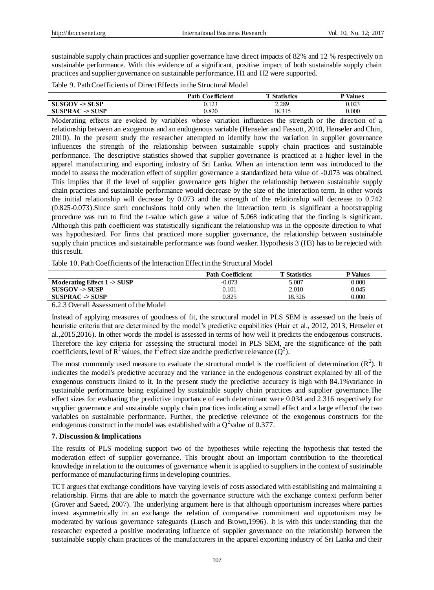sustainable supply chain practices and supplier governance have direct impacts of 82% and 12 % respectively on sustainable performance. With this evidence of a significant, positive impact of both sustainable supply chain practices and supplier governance on sustainable performance, H1 and H2 were supported.

Table 9. Path Coefficients of Direct Effects in the Structural Model

|                     | <b>Path Coefficient</b> | <b>T</b> Statistics | <sup>D</sup> Values |
|---------------------|-------------------------|---------------------|---------------------|
| $SUSGOV \geq SUBP$  | 0.123                   | 2.289               | 0.023               |
| $SUSPRAC \geq SUBP$ | 0.820                   | 18.315              | $0.000\,$           |

Moderating effects are evoked by variables whose variation influences the strength or the direction of a relationship between an exogenous and an endogenous variable (Henseler and Fassott, 2010, Henseler and Chin, 2010). In the present study the researcher attempted to identify how the variation in supplier governance influences the strength of the relationship between sustainable supply chain practices and sustainable performance. The descriptive statistics showed that supplier governance is practiced at a higher level in the apparel manufacturing and exporting industry of Sri Lanka. When an interaction term was introduced to the model to assess the moderation effect of supplier governance a standardized beta value of -0.073 was obtained. This implies that if the level of supplier governance gets higher the relationship between sustainable supply chain practices and sustainable performance would decrease by the size of the interaction term. In other words the initial relationship will decrease by 0.073 and the strength of the relationship will decrease to 0.742 (0.825-0.073).Since such conclusions hold only when the interaction term is significant a bootstrapping procedure was run to find the t-value which gave a value of 5.068 indicating that the finding is significant. Although this path coefficient was statistically significant the relationship was in the opposite direction to what was hypothesized. For firms that practiced more supplier governance, the relationship between sustainable supply chain practices and sustainable performance was found weaker. Hypothesis 3 (H3) has to be rejected with this result.

Table 10. Path Coefficients of the Interaction Effect in the Structural Model

|                              | <b>Path Coefficient</b> | <b>T</b> Statistics | <b>P</b> Values |
|------------------------------|-------------------------|---------------------|-----------------|
| Moderating Effect $1 - SUSP$ | $-0.073$                | 5.007               | 0.000           |
| $SUSGOV \rightarrow SUBP$    | 0.101                   | 2.010               | 0.045           |
| $SUSPRAC - SUSP$             | 0.825                   | 18.326              | 0.000           |

6.2.3 Overall Assessment of the Model

Instead of applying measures of goodness of fit, the structural model in PLS SEM is assessed on the basis of heuristic criteria that are determined by the model's predictive capabilities (Hair et al., 2012, 2013, Henseler et al.,2015,2016). In other words the model is assessed in terms of how well it predicts the endogenous constructs. Therefore the key criteria for assessing the structural model in PLS SEM, are the significance of the path coefficients, level of  $\mathbb{R}^2$  values, the f<sup>2</sup> effect size and the predictive relevance ( $\mathbb{Q}^2$ ).

The most commonly used measure to evaluate the structural model is the coefficient of determination  $(R^2)$ . It indicates the model's predictive accuracy and the variance in the endogenous construct explained by all of the exogenous constructs linked to it. In the present study the predictive accuracy is high with 84.1%variance in sustainable performance being explained by sustainable supply chain practices and supplier governance.The effect sizes for evaluating the predictive importance of each determinant were 0.034 and 2.316 respectively for supplier governance and sustainable supply chain practices indicating a small effect and a large effectof the two variables on sustainable performance. Further, the predictive relevance of the exogenous constructs for the endogenous construct in the model was established with a  $Q^2$  value of 0.377.

## **7. Discussion & Implications**

The results of PLS modeling support two of the hypotheses while rejecting the hypothesis that tested the moderation effect of supplier governance. This brought about an important contribution to the theoretical knowledge in relation to the outcomes of governance when it is applied to suppliers in the context of sustainable performance of manufacturing firms in developing countries.

TCT argues that exchange conditions have varying levels of costs associated with establishing and maintaining a relationship. Firms that are able to match the governance structure with the exchange context perform better (Grover and Saeed, 2007). The underlying argument here is that although opportunism increases where parties invest asymmetrically in an exchange the relation of comparative commitment and opportunism may be moderated by various governance safeguards (Lusch and Brown,1996). It is with this understanding that the researcher expected a positive moderating influence of supplier governance on the relationship between the sustainable supply chain practices of the manufacturers in the apparel exporting industry of Sri Lanka and their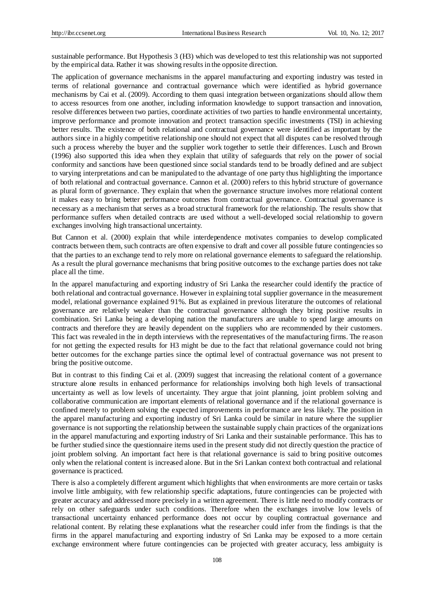sustainable performance. But Hypothesis 3 (H3) which was developed to test this relationship was not supported by the empirical data. Rather it was showing results in the opposite direction.

The application of governance mechanisms in the apparel manufacturing and exporting industry was tested in terms of relational governance and contractual governance which were identified as hybrid governance mechanisms by Cai et al. (2009). According to them quasi integration between organizations should allow them to access resources from one another, including information knowledge to support transaction and innovation, resolve differences between two parties, coordinate activities of two parties to handle environmental uncertainty, improve performance and promote innovation and protect transaction specific investments (TSI) in achieving better results. The existence of both relational and contractual governance were identified as important by the authors since in a highly competitive relationship one should not expect that all disputes can be resolved through such a process whereby the buyer and the supplier work together to settle their differences. Lusch and Brown (1996) also supported this idea when they explain that utility of safeguards that rely on the power of social conformity and sanctions have been questioned since social standards tend to be broadly defined and are subject to varying interpretations and can be manipulated to the advantage of one party thus highlighting the importance of both relational and contractual governance. Cannon et al. (2000) refers to this hybrid structure of governance as plural form of governance. They explain that when the governance structure involves more relational content it makes easy to bring better performance outcomes from contractual governance. Contractual governance is necessary as a mechanism that serves as a broad structural framework for the relationship. The results show that performance suffers when detailed contracts are used without a well-developed social relationship to govern exchanges involving high transactional uncertainty.

But Cannon et al. (2000) explain that while interdependence motivates companies to develop complicated contracts between them, such contracts are often expensive to draft and cover all possible future contingencies so that the parties to an exchange tend to rely more on relational governance elements to safeguard the relationship. As a result the plural governance mechanisms that bring positive outcomes to the exchange parties does not take place all the time.

In the apparel manufacturing and exporting industry of Sri Lanka the researcher could identify the practice of both relational and contractual governance. However in explaining total supplier governance in the measurement model, relational governance explained 91%. But as explained in previous literature the outcomes of relational governance are relatively weaker than the contractual governance although they bring positive results in combination. Sri Lanka being a developing nation the manufacturers are unable to spend large amounts on contracts and therefore they are heavily dependent on the suppliers who are recommended by their customers. This fact was revealed in the in depth interviews with the representatives of the manufacturing firms. The re ason for not getting the expected results for H3 might be due to the fact that relational governance could not bring better outcomes for the exchange parties since the optimal level of contractual governance was not present to bring the positive outcome.

But in contrast to this finding Cai et al. (2009) suggest that increasing the relational content of a governance structure alone results in enhanced performance for relationships involving both high levels of transactional uncertainty as well as low levels of uncertainty. They argue that joint planning, joint problem solving and collaborative communication are important elements of relational governance and if the relational governance is confined merely to problem solving the expected improvements in performance are less likely. The position in the apparel manufacturing and exporting industry of Sri Lanka could be similar in nature where the supplier governance is not supporting the relationship between the sustainable supply chain practices of the organizations in the apparel manufacturing and exporting industry of Sri Lanka and their sustainable performance. This has to be further studied since the questionnaire items used in the present study did not directly question the practice of joint problem solving. An important fact here is that relational governance is said to bring positive outcomes only when the relational content is increased alone. But in the Sri Lankan context both contractual and relational governance is practiced.

There is also a completely different argument which highlights that when environments are more certain or tasks involve little ambiguity, with few relationship specific adaptations, future contingencies can be projected with greater accuracy and addressed more precisely in a written agreement. There is little need to modify contracts or rely on other safeguards under such conditions. Therefore when the exchanges involve low levels of transactional uncertainty enhanced performance does not occur by coupling contractual governance and relational content. By relating these explanations what the researcher could infer from the findings is that the firms in the apparel manufacturing and exporting industry of Sri Lanka may be exposed to a more certain exchange environment where future contingencies can be projected with greater accuracy, less ambiguity is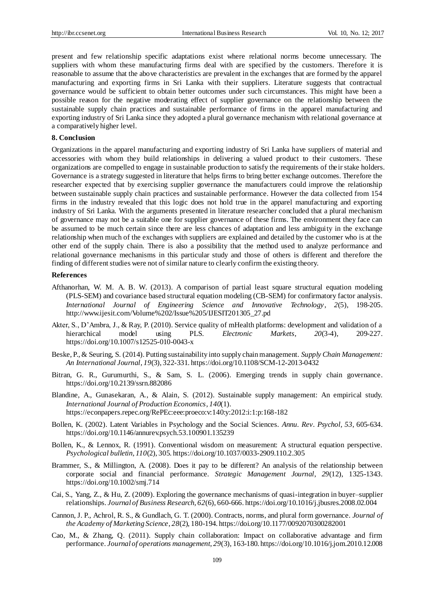present and few relationship specific adaptations exist where relational norms become unnecessary. The suppliers with whom these manufacturing firms deal with are specified by the customers. Therefore it is reasonable to assume that the above characteristics are prevalent in the exchanges that are formed by the apparel manufacturing and exporting firms in Sri Lanka with their suppliers. Literature suggests that contractual governance would be sufficient to obtain better outcomes under such circumstances. This might have been a possible reason for the negative moderating effect of supplier governance on the relationship between the sustainable supply chain practices and sustainable performance of firms in the apparel manufacturing and exporting industry of Sri Lanka since they adopted a plural governance mechanism with relational governance at a comparatively higher level.

#### **8. Conclusion**

Organizations in the apparel manufacturing and exporting industry of Sri Lanka have suppliers of material and accessories with whom they build relationships in delivering a valued product to their customers. These organizations are compelled to engage in sustainable production to satisfy the requirements of their stake holders. Governance is a strategy suggested in literature that helps firms to bring better exchange outcomes. Therefore the researcher expected that by exercising supplier governance the manufacturers could improve the relationship between sustainable supply chain practices and sustainable performance. However the data collected from 154 firms in the industry revealed that this logic does not hold true in the apparel manufacturing and exporting industry of Sri Lanka. With the arguments presented in literature researcher concluded that a plural mechanism of governance may not be a suitable one for supplier governance of these firms. The environment they face can be assumed to be much certain since there are less chances of adaptation and less ambiguity in the exchange relationship when much of the exchanges with suppliers are explained and detailed by the customer who is at the other end of the supply chain. There is also a possibility that the method used to analyze performance and relational governance mechanisms in this particular study and those of others is different and therefore the finding of different studies were not of similar nature to clearly confirm the existing theory.

#### **References**

- Afthanorhan, W. M. A. B. W. (2013). A comparison of partial least square structural equation modeling (PLS-SEM) and covariance based structural equation modeling (CB-SEM) for confirmatory factor analysis. *International Journal of Engineering Science and Innovative Technology*, *2*(5), 198-205. http://www.ijesit.com/Volume%202/Issue%205/IJESIT201305\_27.pd
- Akter, S., D'Ambra, J., & Ray, P. (2010). Service quality of mHealth platforms: development and validation of a hierarchical model using PLS. *Electronic Markets*, *20*(3-4), 209-227. https://doi.org/10.1007/s12525-010-0043-x
- Beske, P., & Seuring, S. (2014). Putting sustainability into supply chain management. *Supply Chain Management: An International Journal*, *19*(3), 322-331. https://doi.org/10.1108/SCM-12-2013-0432
- Bitran, G. R., Gurumurthi, S., & Sam, S. L. (2006). Emerging trends in supply chain governance. https://doi.org/10.2139/ssrn.882086
- Blandine, A., Gunasekaran, A., & Alain, S. (2012). Sustainable supply management: An empirical study. *International Journal of Production Economics*, *140*(1). https://econpapers.repec.org/RePEc:eee:proeco:v:140:y:2012:i:1:p:168-182
- Bollen, K. (2002). Latent Variables in Psychology and the Social Sciences. *Annu. Rev*. *Psychol, 53*, 605-634. https://doi.org/10.1146/annurev.psych.53.100901.135239
- Bollen, K., & Lennox, R. (1991). Conventional wisdom on measurement: A structural equation perspective. *Psychological bulletin*, *110*(2), 305. https://doi.org/10.1037/0033-2909.110.2.305
- Brammer, S., & Millington, A. (2008). Does it pay to be different? An analysis of the relationship between corporate social and financial performance. *Strategic Management Journal*, *29*(12), 1325-1343. https://doi.org/10.1002/smj.714
- Cai, S., Yang, Z., & Hu, Z. (2009). Exploring the governance mechanisms of quasi-integration in buyer–supplier relationships. *Journal of Business Research*, *62*(6), 660-666. https://doi.org/10.1016/j.jbusres.2008.02.004
- Cannon, J. P., Achrol, R. S., & Gundlach, G. T. (2000). Contracts, norms, and plural form governance. *Journal of the Academy of Marketing Science*, *28*(2), 180-194. https://doi.org/10.1177/0092070300282001
- Cao, M., & Zhang, Q. (2011). Supply chain collaboration: Impact on collaborative advantage and firm performance. *Journal of operations management*, *29*(3), 163-180. https://doi.org/10.1016/j.jom.2010.12.008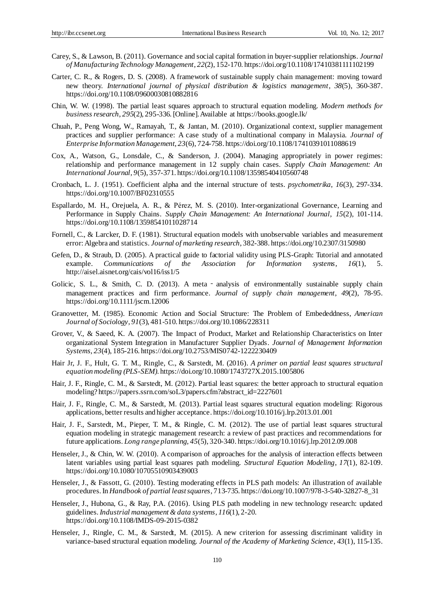- Carey, S., & Lawson, B. (2011). Governance and social capital formation in buyer-supplier relationships. *Journal of Manufacturing Technology Management*, *22*(2), 152-170. https://doi.org/10.1108/17410381111102199
- Carter, C. R., & Rogers, D. S. (2008). A framework of sustainable supply chain management: moving toward new theory. *International journal of physical distribution & logistics management*, *38*(5), 360-387. https://doi.org/10.1108/09600030810882816
- Chin, W. W. (1998). The partial least squares approach to structural equation modeling. *Modern methods for business research*, *295*(2), 295-336.[Online]. Available at https://books.google.lk/
- Chuah, P., Peng Wong, W., Ramayah, T., & Jantan, M. (2010). Organizational context, supplier management practices and supplier performance: A case study of a multinational company in Malaysia. *Journal of Enterprise Information Management*, *23*(6), 724-758. https://doi.org/10.1108/17410391011088619
- Cox, A., Watson, G., Lonsdale, C., & Sanderson, J. (2004). Managing appropriately in power regimes: relationship and performance management in 12 supply chain cases. *Supply Chain Management: An International Journal*, *9*(5), 357-371. https://doi.org/10.1108/13598540410560748
- Cronbach, L. J. (1951). Coefficient alpha and the internal structure of tests. *psychometrika*, *16*(3), 297-334. https://doi.org/10.1007/BF02310555
- Espallardo, M. H., Orejuela, A. R., & Pérez, M. S. (2010). Inter-organizational Governance, Learning and Performance in Supply Chains. *Supply Chain Management: An International Journal*, *15*(2), 101-114. https://doi.org/10.1108/13598541011028714
- Fornell, C., & Larcker, D. F. (1981). Structural equation models with unobservable variables and measurement error: Algebra and statistics. *Journal of marketing research*, 382-388. https://doi.org/10.2307/3150980
- Gefen, D., & Straub, D. (2005). A practical guide to factorial validity using PLS-Graph: Tutorial and annotated example. *Communications of the Association for Information systems*, *16*(1), 5. http://aisel.aisnet.org/cais/vol16/iss1/5
- Golicic, S. L., & Smith, C. D. (2013). A meta analysis of environmentally sustainable supply chain management practices and firm performance. *Journal of supply chain management*, *49*(2), 78-95. https://doi.org/10.1111/jscm.12006
- Granovetter, M. (1985). Economic Action and Social Structure: The Problem of Embededdness, *American Journal of Sociology*, *91*(3), 481-510. https://doi.org/10.1086/228311
- Grover, V., & Saeed, K. A. (2007). The Impact of Product, Market and Relationship Characteristics on Inter organizational System Integration in Manufacturer Supplier Dyads. *Journal of Management Information Systems*, *23*(4), 185-216. https://doi.org/10.2753/MIS0742-1222230409
- Hair Jr, J. F., Hult, G. T. M., Ringle, C., & Sarstedt, M. (2016). *A primer on partial least squares structural equation modeling (PLS-SEM)*. https://doi.org/10.1080/1743727X.2015.1005806
- Hair, J. F., Ringle, C. M., & Sarstedt, M. (2012). Partial least squares: the better approach to structural equation modeling? https://papers.ssrn.com/soL3/papers.cfm?abstract\_id=2227601
- Hair, J. F., Ringle, C. M., & Sarstedt, M. (2013). Partial least squares structural equation modeling: Rigorous applications, better results and higher acceptance. https://doi.org/10.1016/j.lrp.2013.01.001
- Hair, J. F., Sarstedt, M., Pieper, T. M., & Ringle, C. M. (2012). The use of partial least squares structural equation modeling in strategic management research: a review of past practices and recommendations for future applications. *Long range planning*, *45*(5), 320-340. https://doi.org/10.1016/j.lrp.2012.09.008
- Henseler, J., & Chin, W. W. (2010). A comparison of approaches for the analysis of interaction effects between latent variables using partial least squares path modeling. *Structural Equation Modeling*, *17*(1), 82-109. https://doi.org/10.1080/10705510903439003
- Henseler, J., & Fassott, G. (2010). Testing moderating effects in PLS path models: An illustration of available procedures. In *Handbook of partial least squares*, 713-735. https://doi.org/10.1007/978-3-540-32827-8\_31
- Henseler, J., Hubona, G., & Ray, P.A. (2016). Using PLS path modeling in new technology research: updated guidelines. *Industrial management & data systems*, *116*(1), 2-20. https://doi.org/10.1108/IMDS-09-2015-0382
- Henseler, J., Ringle, C. M., & Sarstedt, M. (2015). A new criterion for assessing discriminant validity in variance-based structural equation modeling. *[Journal of the Academy of Marketing Science](https://link.springer.com/journal/11747)*, *43*(1), 115-135.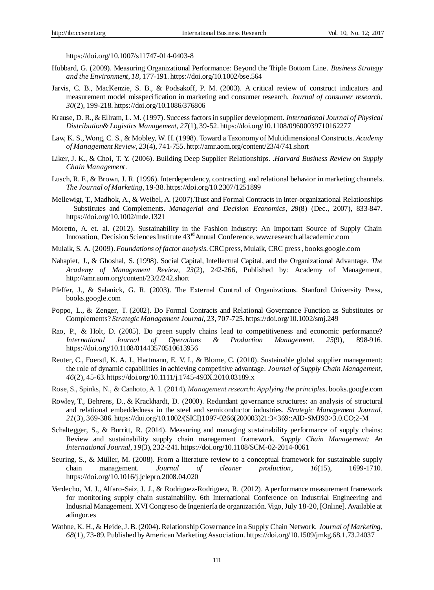https://doi.org/10.1007/s11747-014-0403-8

- Hubbard, G. (2009). Measuring Organizational Performance: Beyond the Triple Bottom Line. *Business Strategy and the Environment*, *18,* 177-191. https://doi.org/10.1002/bse.564
- Jarvis, C. B., MacKenzie, S. B., & Podsakoff, P. M. (2003). A critical review of construct indicators and measurement model misspecification in marketing and consumer research. *Journal of consumer research*, *30*(2), 199-218. https://doi.org/10.1086/376806
- Krause, D. R., & Ellram, L. M. (1997). Success factors in supplier development. *International Journal of Physical Distribution& Logistics Management, 27*(1), 39-52. https://doi.org/10.1108/09600039710162277
- Law, K. S., Wong, C. S., & Mobley, W. H.(1998). Toward a Taxonomy of Multidimensional Constructs. *Academy of Management Review*, *23*(4), 741-755. http://amr.aom.org/content/23/4/741.short
- Liker, J. K., & Choi, T. Y. (2006). Building Deep Supplier Relationships. .*Harvard Business Review on Supply Chain Management*.
- Lusch, R. F., & Brown, J. R. (1996). Interdependency, contracting, and relational behavior in marketing channels. *The Journal of Marketing*, 19-38. https://doi.org/10.2307/1251899
- Mellewigt, T., Madhok, A., & Weibel, A. (2007).Trust and Formal Contracts in Inter-organizational Relationships – Substitutes and Complements. *Managerial and Decision Economics*, *28*(8) (Dec., 2007), 833-847. https://doi.org/10.1002/mde.1321
- Moretto, A. et. al. (2012). Sustainability in the Fashion Industry: An Important Source of Supply Chain Innovation, Decision Sciences Institute 43<sup>rd</sup> Annual Conference, www.research.allacademic.com
- Mulaik, S. A. (2009). *Foundations of factor analysis*. CRC press, Mulaik, CRC press , books.google.com
- Nahapiet, J., & Ghoshal, S. (1998). Social Capital, Intellectual Capital, and the Organizational Advantage. *The Academy of Management Review*, *23*(2), 242-266, Published by: Academy of Management, http://amr.aom.org/content/23/2/242.short
- Pfeffer, J., & Salanick, G. R. (2003). The External Control of Organizations. Stanford University Press, books.google.com
- Poppo, L., & Zenger, T. (2002). Do Formal Contracts and Relational Governance Function as Substitutes or Complements? *Strategic Management Journal*, *23,* 707-725. https://doi.org/10.1002/smj.249
- Rao, P., & Holt, D. (2005). Do green supply chains lead to competitiveness and economic performance? *International Journal of Operations & Production Management*, *25*(9), 898-916. https://doi.org/10.1108/01443570510613956
- Reuter, C., Foerstl, K. A. I., Hartmann, E. V. I., & Blome, C. (2010). Sustainable global supplier management: the role of dynamic capabilities in achieving competitive advantage. *Journal of Supply Chain Management*, *46*(2), 45-63. https://doi.org/10.1111/j.1745-493X.2010.03189.x
- Rose, S., Spinks, N., & Canhoto, A. I. (2014). *Management research: Applying the principles*. books.google.com
- Rowley, T., Behrens, D., & Krackhardt, D. (2000). Redundant governance structures: an analysis of structural and relational embeddedness in the steel and semiconductor industries. *Strategic Management Journal*, *21*(3), 369-386. https://doi.org/10.1002/(SICI)1097-0266(200003)21:3<369::AID-SMJ93>3.0.CO;2-M
- Schaltegger, S., & Burritt, R. (2014). Measuring and managing sustainability performance of supply chains: Review and sustainability supply chain management framework. *Supply Chain Management: An International Journal*, *19*(3), 232-241. https://doi.org/10.1108/SCM-02-2014-0061
- Seuring, S., & Müller, M. (2008). From a literature review to a conceptual framework for sustainable supply chain management. *Journal of cleaner production*, *16*(15), 1699-1710. https://doi.org/10.1016/j.jclepro.2008.04.020
- Verdecho, M. J., Alfaro-Saiz, J. J., & Rodriguez-Rodriguez, R. (2012). A performance measurement framework for monitoring supply chain sustainability. 6th International Conference on Industrial Engineering and Indusrial Management. XVI Congreso de Ingenier á de organización. Vigo, July 18-20, [Online]. Available at adingor.es
- Wathne, K. H., & Heide, J.B.(2004). Relationship Governance in a Supply Chain Network. *Journal of Marketing*, *68*(1), 73-89. Published by American Marketing Association. https://doi.org/10.1509/jmkg.68.1.73.24037